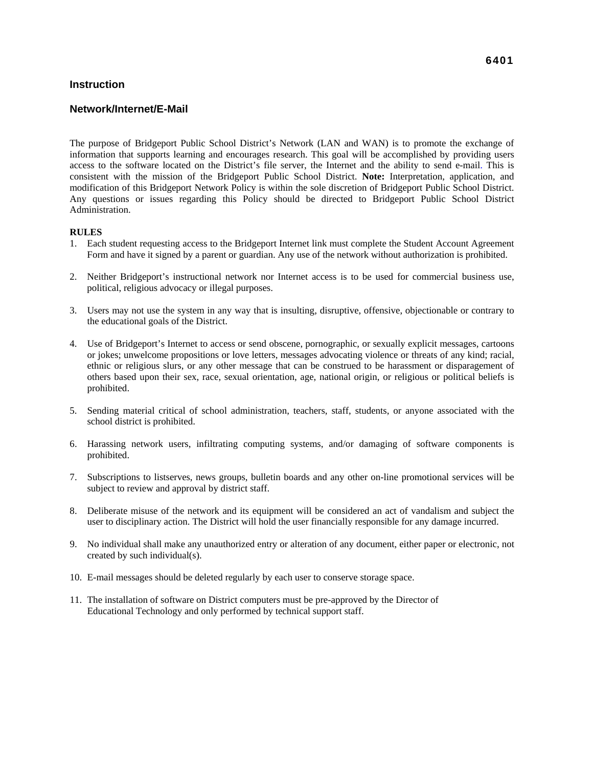### **Instruction**

### **Network/Internet/E-Mail**

The purpose of Bridgeport Public School District's Network (LAN and WAN) is to promote the exchange of information that supports learning and encourages research. This goal will be accomplished by providing users access to the software located on the District's file server, the Internet and the ability to send e-mail. This is consistent with the mission of the Bridgeport Public School District. **Note:** Interpretation, application, and modification of this Bridgeport Network Policy is within the sole discretion of Bridgeport Public School District. Any questions or issues regarding this Policy should be directed to Bridgeport Public School District Administration.

#### **RULES**

- 1. Each student requesting access to the Bridgeport Internet link must complete the Student Account Agreement Form and have it signed by a parent or guardian. Any use of the network without authorization is prohibited.
- 2. Neither Bridgeport's instructional network nor Internet access is to be used for commercial business use, political, religious advocacy or illegal purposes.
- 3. Users may not use the system in any way that is insulting, disruptive, offensive, objectionable or contrary to the educational goals of the District.
- 4. Use of Bridgeport's Internet to access or send obscene, pornographic, or sexually explicit messages, cartoons or jokes; unwelcome propositions or love letters, messages advocating violence or threats of any kind; racial, ethnic or religious slurs, or any other message that can be construed to be harassment or disparagement of others based upon their sex, race, sexual orientation, age, national origin, or religious or political beliefs is prohibited.
- 5. Sending material critical of school administration, teachers, staff, students, or anyone associated with the school district is prohibited.
- 6. Harassing network users, infiltrating computing systems, and/or damaging of software components is prohibited.
- 7. Subscriptions to listserves, news groups, bulletin boards and any other on-line promotional services will be subject to review and approval by district staff.
- 8. Deliberate misuse of the network and its equipment will be considered an act of vandalism and subject the user to disciplinary action. The District will hold the user financially responsible for any damage incurred.
- 9. No individual shall make any unauthorized entry or alteration of any document, either paper or electronic, not created by such individual(s).
- 10. E-mail messages should be deleted regularly by each user to conserve storage space.
- 11. The installation of software on District computers must be pre-approved by the Director of Educational Technology and only performed by technical support staff.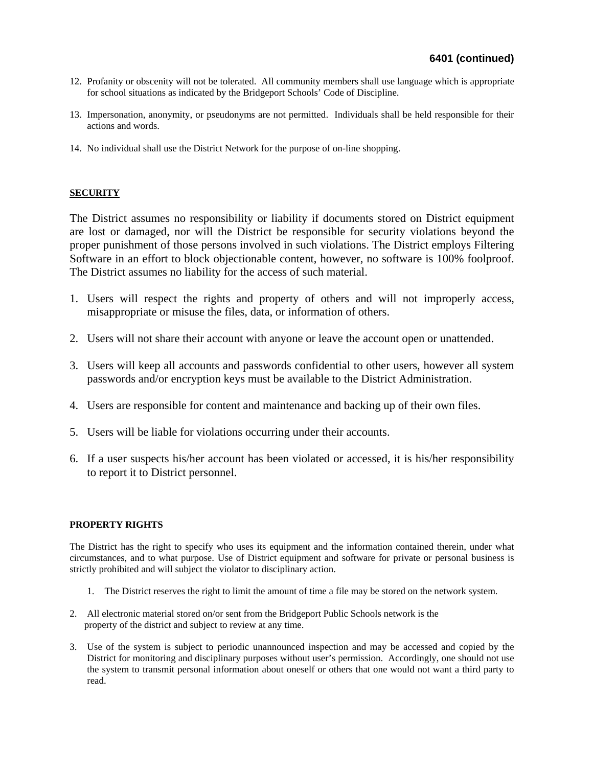- 12. Profanity or obscenity will not be tolerated. All community members shall use language which is appropriate for school situations as indicated by the Bridgeport Schools' Code of Discipline.
- 13. Impersonation, anonymity, or pseudonyms are not permitted. Individuals shall be held responsible for their actions and words.
- 14. No individual shall use the District Network for the purpose of on-line shopping.

## **SECURITY**

The District assumes no responsibility or liability if documents stored on District equipment are lost or damaged, nor will the District be responsible for security violations beyond the proper punishment of those persons involved in such violations. The District employs Filtering Software in an effort to block objectionable content, however, no software is 100% foolproof. The District assumes no liability for the access of such material.

- 1. Users will respect the rights and property of others and will not improperly access, misappropriate or misuse the files, data, or information of others.
- 2. Users will not share their account with anyone or leave the account open or unattended.
- 3. Users will keep all accounts and passwords confidential to other users, however all system passwords and/or encryption keys must be available to the District Administration.
- 4. Users are responsible for content and maintenance and backing up of their own files.
- 5. Users will be liable for violations occurring under their accounts.
- 6. If a user suspects his/her account has been violated or accessed, it is his/her responsibility to report it to District personnel.

## **PROPERTY RIGHTS**

The District has the right to specify who uses its equipment and the information contained therein, under what circumstances, and to what purpose. Use of District equipment and software for private or personal business is strictly prohibited and will subject the violator to disciplinary action.

- 1. The District reserves the right to limit the amount of time a file may be stored on the network system.
- 2. All electronic material stored on/or sent from the Bridgeport Public Schools network is the property of the district and subject to review at any time.
- 3. Use of the system is subject to periodic unannounced inspection and may be accessed and copied by the District for monitoring and disciplinary purposes without user's permission. Accordingly, one should not use the system to transmit personal information about oneself or others that one would not want a third party to read.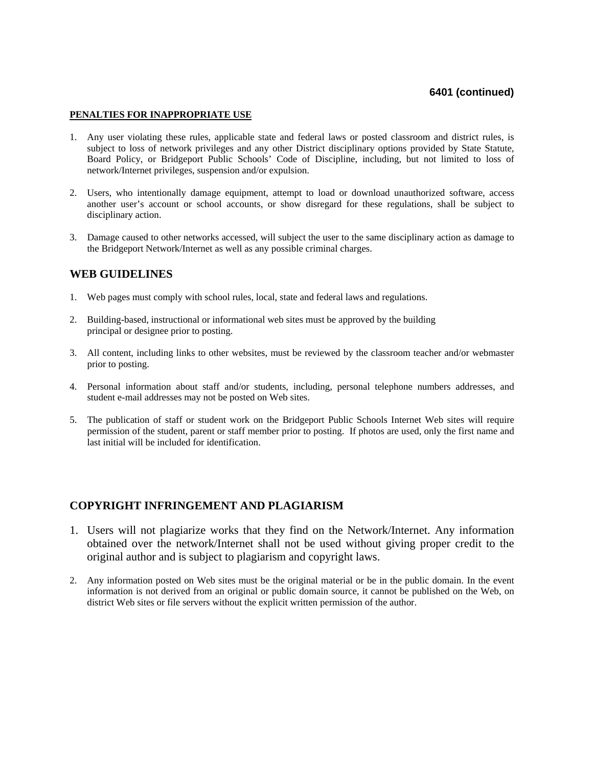# **6401 (continued)**

#### **PENALTIES FOR INAPPROPRIATE USE**

- 1. Any user violating these rules, applicable state and federal laws or posted classroom and district rules, is subject to loss of network privileges and any other District disciplinary options provided by State Statute, Board Policy, or Bridgeport Public Schools' Code of Discipline, including, but not limited to loss of network/Internet privileges, suspension and/or expulsion.
- 2. Users, who intentionally damage equipment, attempt to load or download unauthorized software, access another user's account or school accounts, or show disregard for these regulations, shall be subject to disciplinary action.
- 3. Damage caused to other networks accessed, will subject the user to the same disciplinary action as damage to the Bridgeport Network/Internet as well as any possible criminal charges.

## **WEB GUIDELINES**

- 1. Web pages must comply with school rules, local, state and federal laws and regulations.
- 2. Building-based, instructional or informational web sites must be approved by the building principal or designee prior to posting.
- 3. All content, including links to other websites, must be reviewed by the classroom teacher and/or webmaster prior to posting.
- 4. Personal information about staff and/or students, including, personal telephone numbers addresses, and student e-mail addresses may not be posted on Web sites.
- 5. The publication of staff or student work on the Bridgeport Public Schools Internet Web sites will require permission of the student, parent or staff member prior to posting. If photos are used, only the first name and last initial will be included for identification.

# **COPYRIGHT INFRINGEMENT AND PLAGIARISM**

- 1. Users will not plagiarize works that they find on the Network/Internet. Any information obtained over the network/Internet shall not be used without giving proper credit to the original author and is subject to plagiarism and copyright laws.
- 2. Any information posted on Web sites must be the original material or be in the public domain. In the event information is not derived from an original or public domain source, it cannot be published on the Web, on district Web sites or file servers without the explicit written permission of the author.